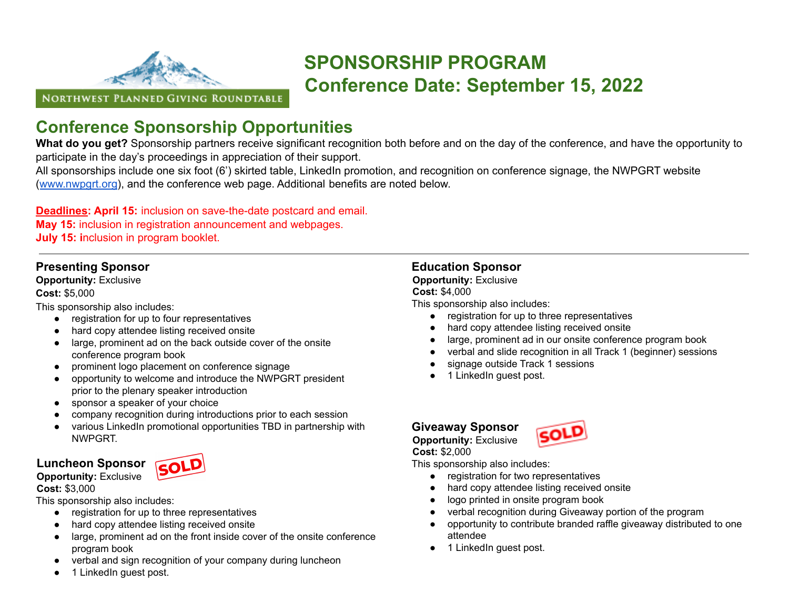

# **SPONSORSHIP PROGRAM Conference Date: September 15, 2022**

## **Conference Sponsorship Opportunities**

**What do you get?** Sponsorship partners receive significant recognition both before and on the day of the conference, and have the opportunity to participate in the day's proceedings in appreciation of their support.

All sponsorships include one six foot (6') skirted table, LinkedIn promotion, and recognition on conference signage, the NWPGRT website ([www.nwpgrt.org\)](http://www.nwpgrt.org), and the conference web page. Additional benefits are noted below.

**Deadlines: April 15:** inclusion on save-the-date postcard and email.

**May 15:** inclusion in registration announcement and webpages. **July 15: i**nclusion in program booklet.

## **Presenting Sponsor**

#### **Opportunity:** Exclusive

#### **Cost:** \$5,000

This sponsorship also includes:

- registration for up to four representatives
- hard copy attendee listing received onsite
- large, prominent ad on the back outside cover of the onsite conference program book
- prominent logo placement on conference signage
- opportunity to welcome and introduce the NWPGRT president prior to the plenary speaker introduction
- sponsor a speaker of your choice
- company recognition during introductions prior to each session
- various LinkedIn promotional opportunities TBD in partnership with NWPGRT.

#### **Luncheon Sponsor Opportunity:** Exclusive



#### **Cost:** \$3,000

This sponsorship also includes:

- registration for up to three representatives
- hard copy attendee listing received onsite
- large, prominent ad on the front inside cover of the onsite conference program book
- verbal and sign recognition of your company during luncheon
- 1 LinkedIn guest post.

## **Education Sponsor**

## **Opportunity:** Exclusive

### **Cost:** \$4,000

This sponsorship also includes:

- registration for up to three representatives
- hard copy attendee listing received onsite
- large, prominent ad in our onsite conference program book
- verbal and slide recognition in all Track 1 (beginner) sessions
- signage outside Track 1 sessions
- 1 LinkedIn guest post.

## **Giveaway Sponsor**



**Cost:** \$2,000

This sponsorship also includes:

- registration for two representatives
- hard copy attendee listing received onsite
- logo printed in onsite program book
- verbal recognition during Giveaway portion of the program
- opportunity to contribute branded raffle giveaway distributed to one attendee
- 1 LinkedIn guest post.

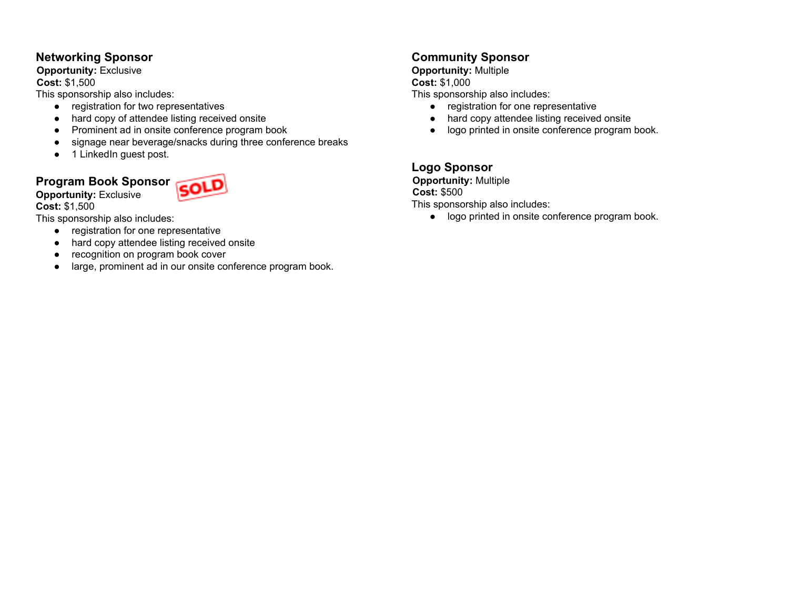## **Networking Sponsor**

**Opportunity:** Exclusive **Cost:** \$1,500

This sponsorship also includes:

- registration for two representatives
- hard copy of attendee listing received onsite
- Prominent ad in onsite conference program book
- signage near beverage/snacks during three conference breaks
- 1 LinkedIn guest post.

#### **Program Book Sponsor Opportunity:** Exclusive



**Cost:** \$1,500

This sponsorship also includes:

- registration for one representative
- hard copy attendee listing received onsite
- recognition on program book cover
- large, prominent ad in our onsite conference program book.

## **Community Sponsor**

#### **Opportunity:** Multiple **Cost:** \$1,000

This sponsorship also includes:

- registration for one representative
- hard copy attendee listing received onsite
- logo printed in onsite conference program book.

## **Logo Sponsor**

#### **Opportunity:** Multiple

**Cost:** \$500

This sponsorship also includes:

● logo printed in onsite conference program book.